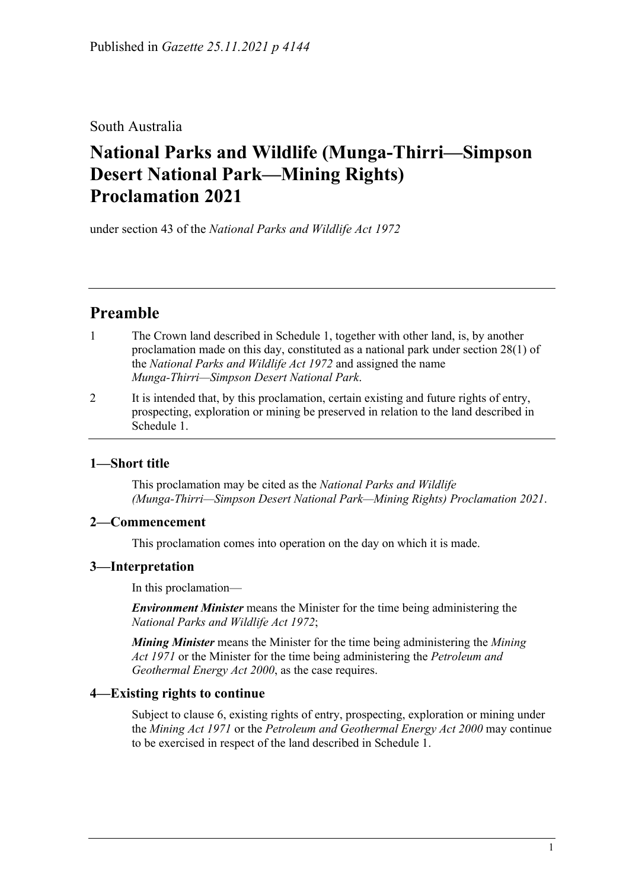South Australia

# **National Parks and Wildlife (Munga-Thirri—Simpson Desert National Park—Mining Rights) Proclamation 2021**

under section 43 of the *National Parks and Wildlife Act 1972*

# **Preamble**

- 1 The Crown land described in [Schedule](#page-2-0) 1, together with other land, is, by another proclamation made on this day, constituted as a national park under section 28(1) of the *[National Parks and Wildlife Act](http://www.legislation.sa.gov.au/index.aspx?action=legref&type=act&legtitle=National%20Parks%20and%20Wildlife%20Act%201972) 1972* and assigned the name *Munga-Thirri—Simpson Desert National Park*.
- 2 It is intended that, by this proclamation, certain existing and future rights of entry, prospecting, exploration or mining be preserved in relation to the land described in [Schedule](#page-2-0) 1.

### **1—Short title**

This proclamation may be cited as the *National Parks and Wildlife (Munga-Thirri—Simpson Desert National Park—Mining Rights) Proclamation 2021*.

#### **2—Commencement**

This proclamation comes into operation on the day on which it is made.

#### **3—Interpretation**

In this proclamation—

*Environment Minister* means the Minister for the time being administering the *[National Parks and Wildlife Act](http://www.legislation.sa.gov.au/index.aspx?action=legref&type=act&legtitle=National%20Parks%20and%20Wildlife%20Act%201972) 1972*;

*Mining Minister* means the Minister for the time being administering the *[Mining](http://www.legislation.sa.gov.au/index.aspx?action=legref&type=act&legtitle=Mining%20Act%201971)  Act [1971](http://www.legislation.sa.gov.au/index.aspx?action=legref&type=act&legtitle=Mining%20Act%201971)* or the Minister for the time being administering the *[Petroleum and](http://www.legislation.sa.gov.au/index.aspx?action=legref&type=act&legtitle=Petroleum%20and%20Geothermal%20Energy%20Act%202000)  [Geothermal Energy Act](http://www.legislation.sa.gov.au/index.aspx?action=legref&type=act&legtitle=Petroleum%20and%20Geothermal%20Energy%20Act%202000) 2000*, as the case requires.

#### **4—Existing rights to continue**

Subject to [clause](#page-1-0) 6, existing rights of entry, prospecting, exploration or mining under the *[Mining Act](http://www.legislation.sa.gov.au/index.aspx?action=legref&type=act&legtitle=Mining%20Act%201971) 1971* or the *[Petroleum and Geothermal Energy Act](http://www.legislation.sa.gov.au/index.aspx?action=legref&type=act&legtitle=Petroleum%20and%20Geothermal%20Energy%20Act%202000) 2000* may continue to be exercised in respect of the land described in [Schedule](#page-2-0) 1.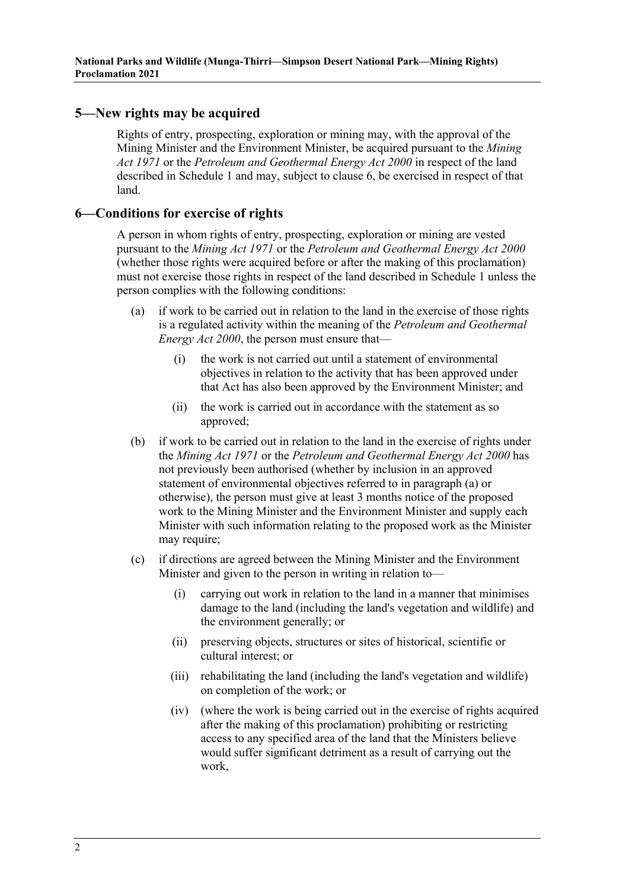#### <span id="page-1-3"></span>**5—New rights may be acquired**

Rights of entry, prospecting, exploration or mining may, with the approval of the Mining Minister and the Environment Minister, be acquired pursuant to the *[Mining](http://www.legislation.sa.gov.au/index.aspx?action=legref&type=act&legtitle=Mining%20Act%201971)  Act [1971](http://www.legislation.sa.gov.au/index.aspx?action=legref&type=act&legtitle=Mining%20Act%201971)* or the *[Petroleum and Geothermal Energy Act](http://www.legislation.sa.gov.au/index.aspx?action=legref&type=act&legtitle=Petroleum%20and%20Geothermal%20Energy%20Act%202000) 2000* in respect of the land described in [Schedule](#page-2-0) 1 and may, subject to [clause](#page-1-0) 6, be exercised in respect of that land.

#### <span id="page-1-0"></span>**6—Conditions for exercise of rights**

A person in whom rights of entry, prospecting, exploration or mining are vested pursuant to the *[Mining Act](http://www.legislation.sa.gov.au/index.aspx?action=legref&type=act&legtitle=Mining%20Act%201971) 1971* or the *[Petroleum and Geothermal Energy Act](http://www.legislation.sa.gov.au/index.aspx?action=legref&type=act&legtitle=Petroleum%20and%20Geothermal%20Energy%20Act%202000) 2000* (whether those rights were acquired before or after the making of this proclamation) must not exercise those rights in respect of the land described in [Schedule](#page-2-0) 1 unless the person complies with the following conditions:

- <span id="page-1-1"></span>(a) if work to be carried out in relation to the land in the exercise of those rights is a regulated activity within the meaning of the *[Petroleum and Geothermal](http://www.legislation.sa.gov.au/index.aspx?action=legref&type=act&legtitle=Petroleum%20and%20Geothermal%20Energy%20Act%202000)  [Energy Act](http://www.legislation.sa.gov.au/index.aspx?action=legref&type=act&legtitle=Petroleum%20and%20Geothermal%20Energy%20Act%202000) 2000*, the person must ensure that—
	- (i) the work is not carried out until a statement of environmental objectives in relation to the activity that has been approved under that Act has also been approved by the Environment Minister; and
	- (ii) the work is carried out in accordance with the statement as so approved;
- (b) if work to be carried out in relation to the land in the exercise of rights under the *[Mining Act](http://www.legislation.sa.gov.au/index.aspx?action=legref&type=act&legtitle=Mining%20Act%201971) 1971* or the *[Petroleum and Geothermal Energy Act](http://www.legislation.sa.gov.au/index.aspx?action=legref&type=act&legtitle=Petroleum%20and%20Geothermal%20Energy%20Act%202000) 2000* has not previously been authorised (whether by inclusion in an approved statement of environmental objectives referred to in [paragraph](#page-1-1) (a) or otherwise), the person must give at least 3 months notice of the proposed work to the Mining Minister and the Environment Minister and supply each Minister with such information relating to the proposed work as the Minister may require;
- <span id="page-1-4"></span><span id="page-1-2"></span>(c) if directions are agreed between the Mining Minister and the Environment Minister and given to the person in writing in relation to—
	- (i) carrying out work in relation to the land in a manner that minimises damage to the land (including the land's vegetation and wildlife) and the environment generally; or
	- (ii) preserving objects, structures or sites of historical, scientific or cultural interest; or
	- (iii) rehabilitating the land (including the land's vegetation and wildlife) on completion of the work; or
	- (iv) (where the work is being carried out in the exercise of rights acquired after the making of this proclamation) prohibiting or restricting access to any specified area of the land that the Ministers believe would suffer significant detriment as a result of carrying out the work,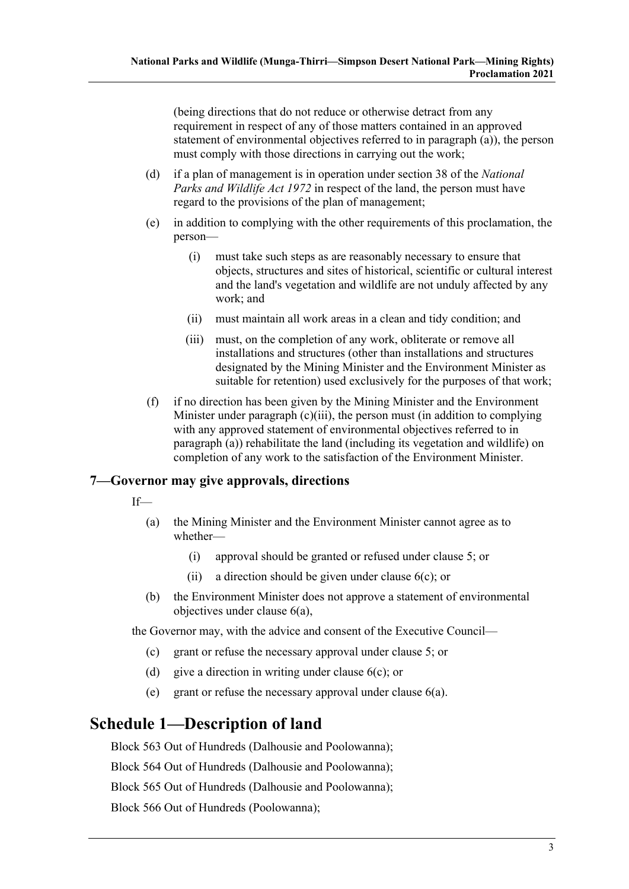(being directions that do not reduce or otherwise detract from any requirement in respect of any of those matters contained in an approved statement of environmental objectives referred to in [paragraph](#page-1-1) (a)), the person must comply with those directions in carrying out the work;

- (d) if a plan of management is in operation under section 38 of the *[National](http://www.legislation.sa.gov.au/index.aspx?action=legref&type=act&legtitle=National%20Parks%20and%20Wildlife%20Act%201972)  [Parks and Wildlife Act](http://www.legislation.sa.gov.au/index.aspx?action=legref&type=act&legtitle=National%20Parks%20and%20Wildlife%20Act%201972) 1972* in respect of the land, the person must have regard to the provisions of the plan of management;
- (e) in addition to complying with the other requirements of this proclamation, the person—
	- (i) must take such steps as are reasonably necessary to ensure that objects, structures and sites of historical, scientific or cultural interest and the land's vegetation and wildlife are not unduly affected by any work; and
	- (ii) must maintain all work areas in a clean and tidy condition; and
	- (iii) must, on the completion of any work, obliterate or remove all installations and structures (other than installations and structures designated by the Mining Minister and the Environment Minister as suitable for retention) used exclusively for the purposes of that work;
- (f) if no direction has been given by the Mining Minister and the Environment Minister under [paragraph](#page-1-2) (c)(iii), the person must (in addition to complying with any approved statement of environmental objectives referred to in [paragraph](#page-1-1) (a)) rehabilitate the land (including its vegetation and wildlife) on completion of any work to the satisfaction of the Environment Minister.

#### **7—Governor may give approvals, directions**

- If—
	- (a) the Mining Minister and the Environment Minister cannot agree as to whether—
		- (i) approval should be granted or refused under [clause](#page-1-3) 5; or
		- (ii) a direction should be given under [clause](#page-1-4) 6(c); or
	- (b) the Environment Minister does not approve a statement of environmental objectives under [clause](#page-1-1) 6(a),

the Governor may, with the advice and consent of the Executive Council—

- (c) grant or refuse the necessary approval under [clause](#page-1-3) 5; or
- (d) give a direction in writing under [clause](#page-1-4)  $6(c)$ ; or
- (e) grant or refuse the necessary approval under [clause](#page-1-1) 6(a).

## <span id="page-2-0"></span>**Schedule 1—Description of land**

Block 563 Out of Hundreds (Dalhousie and Poolowanna);

Block 564 Out of Hundreds (Dalhousie and Poolowanna);

Block 565 Out of Hundreds (Dalhousie and Poolowanna);

Block 566 Out of Hundreds (Poolowanna);